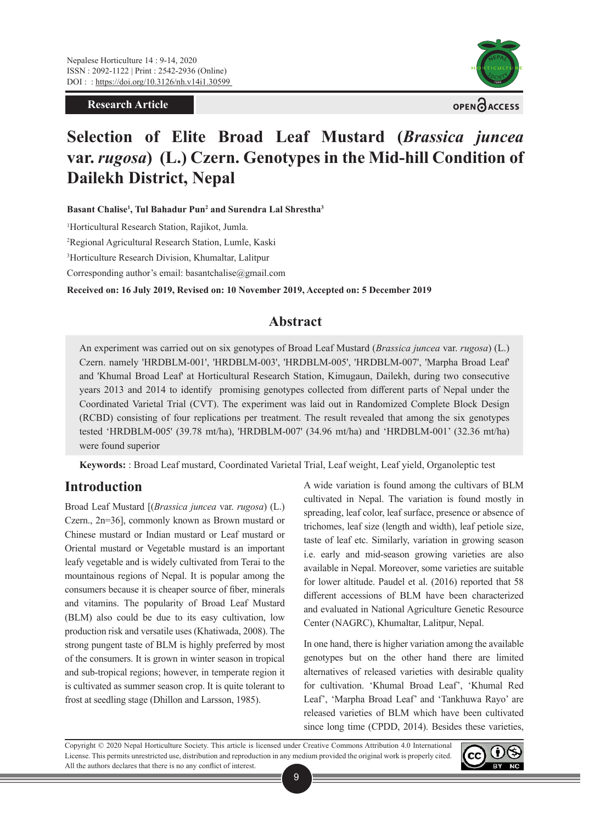**Research Article**



# **Selection of Elite Broad Leaf Mustard (***Brassica juncea*  **var.** *rugosa***) (L.) Czern. Genotypes in the Mid-hill Condition of Dailekh District, Nepal**

**Basant Chalise1 , Tul Bahadur Pun2 and Surendra Lal Shrestha3**

1 Horticultural Research Station, Rajikot, Jumla.

2 Regional Agricultural Research Station, Lumle, Kaski

3 Horticulture Research Division, Khumaltar, Lalitpur

Corresponding author's email: basantchalise@gmail.com

**Received on: 16 July 2019, Revised on: 10 November 2019, Accepted on: 5 December 2019**

# **Abstract**

An experiment was carried out on six genotypes of Broad Leaf Mustard (*Brassica juncea* var. *rugosa*) (L.) Czern. namely 'HRDBLM-001', 'HRDBLM-003', 'HRDBLM-005', 'HRDBLM-007', 'Marpha Broad Leaf' and 'Khumal Broad Leaf' at Horticultural Research Station, Kimugaun, Dailekh, during two consecutive years 2013 and 2014 to identify promising genotypes collected from different parts of Nepal under the Coordinated Varietal Trial (CVT). The experiment was laid out in Randomized Complete Block Design (RCBD) consisting of four replications per treatment. The result revealed that among the six genotypes tested 'HRDBLM-005' (39.78 mt/ha), 'HRDBLM-007' (34.96 mt/ha) and 'HRDBLM-001' (32.36 mt/ha) were found superior

**Keywords:** : Broad Leaf mustard, Coordinated Varietal Trial, Leaf weight, Leaf yield, Organoleptic test

# **Introduction**

Broad Leaf Mustard [(*Brassica juncea* var. *rugosa*) (L.) Czern., 2n=36], commonly known as Brown mustard or Chinese mustard or Indian mustard or Leaf mustard or Oriental mustard or Vegetable mustard is an important leafy vegetable and is widely cultivated from Terai to the mountainous regions of Nepal. It is popular among the consumers because it is cheaper source of fiber, minerals and vitamins. The popularity of Broad Leaf Mustard (BLM) also could be due to its easy cultivation, low production risk and versatile uses (Khatiwada, 2008). The strong pungent taste of BLM is highly preferred by most of the consumers. It is grown in winter season in tropical and sub-tropical regions; however, in temperate region it is cultivated as summer season crop. It is quite tolerant to frost at seedling stage (Dhillon and Larsson, 1985).

A wide variation is found among the cultivars of BLM cultivated in Nepal. The variation is found mostly in spreading, leaf color, leaf surface, presence or absence of trichomes, leaf size (length and width), leaf petiole size, taste of leaf etc. Similarly, variation in growing season i.e. early and mid-season growing varieties are also available in Nepal. Moreover, some varieties are suitable for lower altitude. Paudel et al. (2016) reported that 58 different accessions of BLM have been characterized and evaluated in National Agriculture Genetic Resource Center (NAGRC), Khumaltar, Lalitpur, Nepal.

In one hand, there is higher variation among the available genotypes but on the other hand there are limited alternatives of released varieties with desirable quality for cultivation. 'Khumal Broad Leaf', 'Khumal Red Leaf', 'Marpha Broad Leaf' and 'Tankhuwa Rayo' are released varieties of BLM which have been cultivated since long time (CPDD, 2014). Besides these varieties,

Copyright © 2020 Nepal Horticulture Society. This article is licensed under Creative Commons Attribution 4.0 International License. This permits unrestricted use, distribution and reproduction in any medium provided the original work is properly cited. All the authors declares that there is no any conflict of interest.

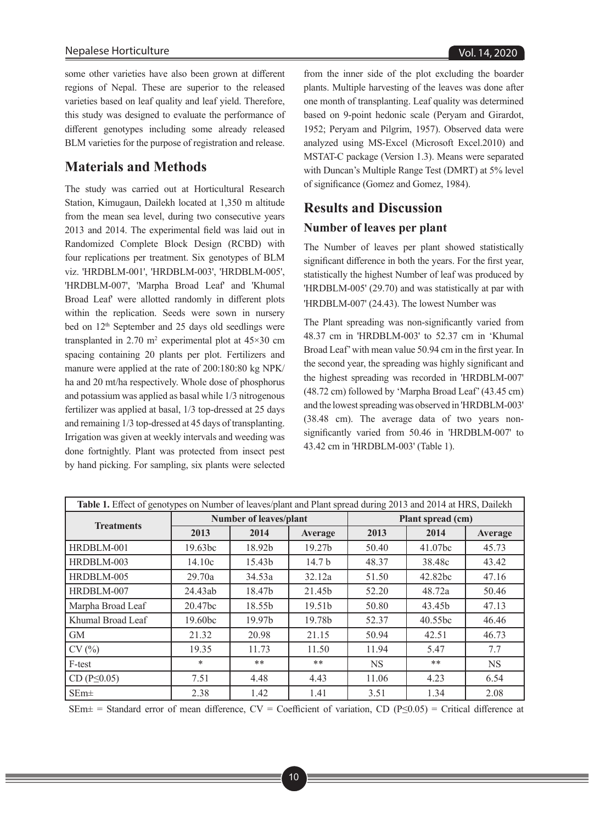some other varieties have also been grown at different regions of Nepal. These are superior to the released varieties based on leaf quality and leaf yield. Therefore, this study was designed to evaluate the performance of different genotypes including some already released BLM varieties for the purpose of registration and release.

# **Materials and Methods**

The study was carried out at Horticultural Research Station, Kimugaun, Dailekh located at 1,350 m altitude from the mean sea level, during two consecutive years 2013 and 2014. The experimental field was laid out in Randomized Complete Block Design (RCBD) with four replications per treatment. Six genotypes of BLM viz. 'HRDBLM-001', 'HRDBLM-003', 'HRDBLM-005', 'HRDBLM-007', 'Marpha Broad Leaf' and 'Khumal Broad Leaf' were allotted randomly in different plots within the replication. Seeds were sown in nursery bed on 12<sup>th</sup> September and 25 days old seedlings were transplanted in 2.70  $m^2$  experimental plot at 45×30 cm spacing containing 20 plants per plot. Fertilizers and manure were applied at the rate of 200:180:80 kg NPK/ ha and 20 mt/ha respectively. Whole dose of phosphorus and potassium was applied as basal while 1/3 nitrogenous fertilizer was applied at basal, 1/3 top-dressed at 25 days and remaining 1/3 top-dressed at 45 days of transplanting. Irrigation was given at weekly intervals and weeding was done fortnightly. Plant was protected from insect pest by hand picking. For sampling, six plants were selected

from the inner side of the plot excluding the boarder plants. Multiple harvesting of the leaves was done after one month of transplanting. Leaf quality was determined based on 9-point hedonic scale (Peryam and Girardot, 1952; Peryam and Pilgrim, 1957). Observed data were analyzed using MS-Excel (Microsoft Excel.2010) and MSTAT-C package (Version 1.3). Means were separated with Duncan's Multiple Range Test (DMRT) at 5% level of significance (Gomez and Gomez, 1984).

# **Results and Discussion**

### **Number of leaves per plant**

The Number of leaves per plant showed statistically significant difference in both the years. For the first year, statistically the highest Number of leaf was produced by 'HRDBLM-005' (29.70) and was statistically at par with 'HRDBLM-007' (24.43). The lowest Number was

The Plant spreading was non-significantly varied from 48.37 cm in 'HRDBLM-003' to 52.37 cm in 'Khumal Broad Leaf' with mean value 50.94 cm in the first year. In the second year, the spreading was highly significant and the highest spreading was recorded in 'HRDBLM-007' (48.72 cm) followed by 'Marpha Broad Leaf' (43.45 cm) and the lowest spreading was observed in 'HRDBLM-003' (38.48 cm). The average data of two years nonsignificantly varied from 50.46 in 'HRDBLM-007' to 43.42 cm in 'HRDBLM-003' (Table 1).

| Table 1. Effect of genotypes on Number of leaves/plant and Plant spread during 2013 and 2014 at HRS, Dailekh |                               |        |                    |                   |                     |           |
|--------------------------------------------------------------------------------------------------------------|-------------------------------|--------|--------------------|-------------------|---------------------|-----------|
| <b>Treatments</b>                                                                                            | <b>Number of leaves/plant</b> |        |                    | Plant spread (cm) |                     |           |
|                                                                                                              | 2013                          | 2014   | Average            | 2013              | 2014                | Average   |
| HRDBLM-001                                                                                                   | 19.63 <sub>bc</sub>           | 18.92b | 19.27 <sub>b</sub> | 50.40             | 41.07 <sub>bc</sub> | 45.73     |
| HRDBLM-003                                                                                                   | 14.10c                        | 15.43b | 14.7 <sub>b</sub>  | 48.37             | 38.48c              | 43.42     |
| HRDBLM-005                                                                                                   | 29.70a                        | 34.53a | 32.12a             | 51.50             | 42.82bc             | 47.16     |
| HRDBLM-007                                                                                                   | 24.43ab                       | 18.47b | 21.45b             | 52.20             | 48.72a              | 50.46     |
| Marpha Broad Leaf                                                                                            | 20.47bc                       | 18.55b | 19.51 <sub>b</sub> | 50.80             | 43.45b              | 47.13     |
| Khumal Broad Leaf                                                                                            | 19.60 <sub>bc</sub>           | 19.97b | 19.78b             | 52.37             | 40.55bc             | 46.46     |
| <b>GM</b>                                                                                                    | 21.32                         | 20.98  | 21.15              | 50.94             | 42.51               | 46.73     |
| CV(%)                                                                                                        | 19.35                         | 11.73  | 11.50              | 11.94             | 5.47                | 7.7       |
| F-test                                                                                                       | $\ast$                        | **     | $***$              | <b>NS</b>         | $**$                | <b>NS</b> |
| $CD(P \le 0.05)$                                                                                             | 7.51                          | 4.48   | 4.43               | 11.06             | 4.23                | 6.54      |
| $SEm\pm$                                                                                                     | 2.38                          | 1.42   | 1.41               | 3.51              | 1.34                | 2.08      |

SEm± = Standard error of mean difference, CV = Coefficient of variation, CD (P≤0.05) = Critical difference at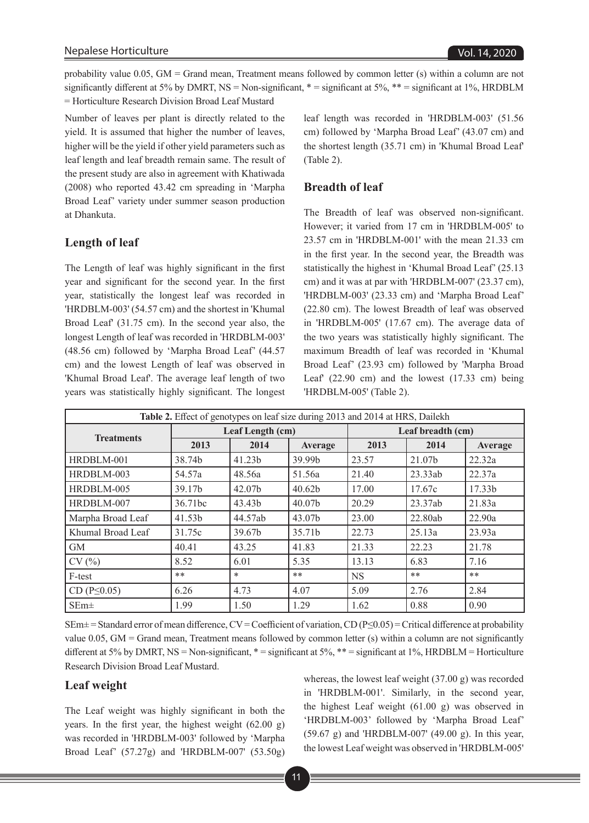probability value 0.05, GM = Grand mean, Treatment means followed by common letter (s) within a column are not significantly different at 5% by DMRT, NS = Non-significant,  $* =$  significant at 5%,  $** =$  significant at 1%, HRDBLM = Horticulture Research Division Broad Leaf Mustard

Number of leaves per plant is directly related to the yield. It is assumed that higher the number of leaves, higher will be the yield if other yield parameters such as leaf length and leaf breadth remain same. The result of the present study are also in agreement with Khatiwada (2008) who reported 43.42 cm spreading in 'Marpha Broad Leaf' variety under summer season production at Dhankuta.

#### **Length of leaf**

The Length of leaf was highly significant in the first year and significant for the second year. In the first year, statistically the longest leaf was recorded in 'HRDBLM-003' (54.57 cm) and the shortest in 'Khumal Broad Leaf' (31.75 cm). In the second year also, the longest Length of leaf was recorded in 'HRDBLM-003' (48.56 cm) followed by 'Marpha Broad Leaf' (44.57 cm) and the lowest Length of leaf was observed in 'Khumal Broad Leaf'. The average leaf length of two years was statistically highly significant. The longest leaf length was recorded in 'HRDBLM-003' (51.56 cm) followed by 'Marpha Broad Leaf' (43.07 cm) and the shortest length (35.71 cm) in 'Khumal Broad Leaf' (Table 2).

#### **Breadth of leaf**

The Breadth of leaf was observed non-significant. However; it varied from 17 cm in 'HRDBLM-005' to 23.57 cm in 'HRDBLM-001' with the mean 21.33 cm in the first year. In the second year, the Breadth was statistically the highest in 'Khumal Broad Leaf' (25.13 cm) and it was at par with 'HRDBLM-007' (23.37 cm), 'HRDBLM-003' (23.33 cm) and 'Marpha Broad Leaf' (22.80 cm). The lowest Breadth of leaf was observed in 'HRDBLM-005' (17.67 cm). The average data of the two years was statistically highly significant. The maximum Breadth of leaf was recorded in 'Khumal Broad Leaf' (23.93 cm) followed by 'Marpha Broad Leaf' (22.90 cm) and the lowest (17.33 cm) being 'HRDBLM-005' (Table 2).

| Table 2. Effect of genotypes on leaf size during 2013 and 2014 at HRS, Dailekh |                  |         |                    |                   |         |                    |
|--------------------------------------------------------------------------------|------------------|---------|--------------------|-------------------|---------|--------------------|
| <b>Treatments</b>                                                              | Leaf Length (cm) |         |                    | Leaf breadth (cm) |         |                    |
|                                                                                | 2013             | 2014    | Average            | 2013              | 2014    | Average            |
| HRDBLM-001                                                                     | 38.74b           | 41.23b  | 39.99b             | 23.57             | 21.07b  | 22.32a             |
| HRDBLM-003                                                                     | 54.57a           | 48.56a  | 51.56a             | 21.40             | 23.33ab | 22.37a             |
| HRDBLM-005                                                                     | 39.17b           | 42.07b  | 40.62b             | 17.00             | 17.67c  | 17.33 <sub>b</sub> |
| HRDBLM-007                                                                     | 36.71bc          | 43.43b  | 40.07 <sub>b</sub> | 20.29             | 23.37ab | 21.83a             |
| Marpha Broad Leaf                                                              | 41.53b           | 44.57ab | 43.07b             | 23.00             | 22.80ab | 22.90a             |
| Khumal Broad Leaf                                                              | 31.75c           | 39.67b  | 35.71b             | 22.73             | 25.13a  | 23.93a             |
| <b>GM</b>                                                                      | 40.41            | 43.25   | 41.83              | 21.33             | 22.23   | 21.78              |
| CV(%)                                                                          | 8.52             | 6.01    | 5.35               | 13.13             | 6.83    | 7.16               |
| F-test                                                                         | **               | $\ast$  | $**$               | <b>NS</b>         | **      | $**$               |
| $CD(P \le 0.05)$                                                               | 6.26             | 4.73    | 4.07               | 5.09              | 2.76    | 2.84               |
| $SEm\pm$                                                                       | 1.99             | 1.50    | 1.29               | 1.62              | 0.88    | 0.90               |

 $SEM^{\pm}$  = Standard error of mean difference, CV = Coefficient of variation, CD (P $\leq$ 0.05) = Critical difference at probability value 0.05, GM = Grand mean, Treatment means followed by common letter (s) within a column are not significantly different at 5% by DMRT, NS = Non-significant,  $* =$  significant at 5%,  $** =$  significant at 1%, HRDBLM = Horticulture Research Division Broad Leaf Mustard.

#### **Leaf weight**

The Leaf weight was highly significant in both the years. In the first year, the highest weight (62.00 g) was recorded in 'HRDBLM-003' followed by 'Marpha Broad Leaf' (57.27g) and 'HRDBLM-007' (53.50g)

whereas, the lowest leaf weight (37.00 g) was recorded in 'HRDBLM-001'. Similarly, in the second year, the highest Leaf weight (61.00 g) was observed in 'HRDBLM-003' followed by 'Marpha Broad Leaf' (59.67 g) and 'HRDBLM-007' (49.00 g). In this year, the lowest Leaf weight was observed in 'HRDBLM-005'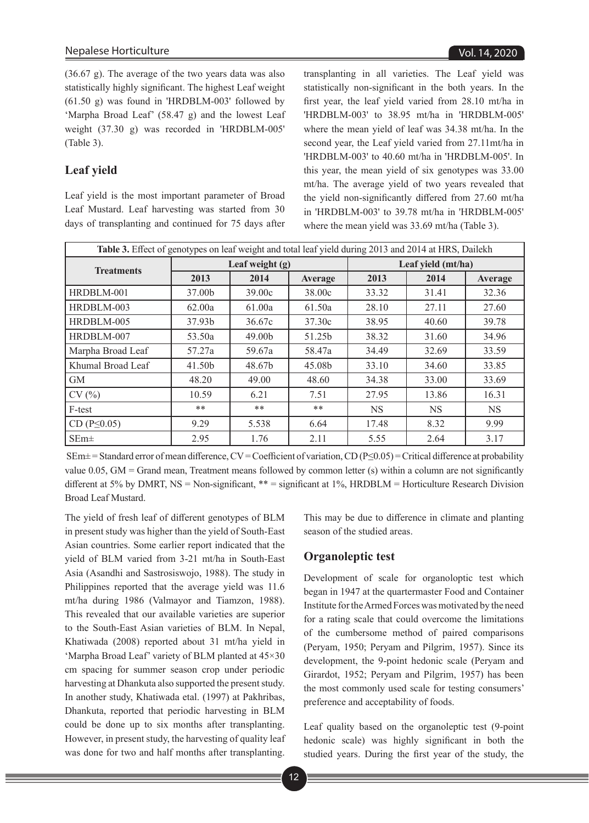(36.67 g). The average of the two years data was also statistically highly significant. The highest Leaf weight (61.50 g) was found in 'HRDBLM-003' followed by 'Marpha Broad Leaf' (58.47 g) and the lowest Leaf weight (37.30 g) was recorded in 'HRDBLM-005' (Table 3).

# **Leaf yield**

Leaf yield is the most important parameter of Broad Leaf Mustard. Leaf harvesting was started from 30 days of transplanting and continued for 75 days after

transplanting in all varieties. The Leaf yield was statistically non-significant in the both years. In the first year, the leaf yield varied from 28.10 mt/ha in 'HRDBLM-003' to 38.95 mt/ha in 'HRDBLM-005' where the mean yield of leaf was 34.38 mt/ha. In the second year, the Leaf yield varied from 27.11mt/ha in 'HRDBLM-003' to 40.60 mt/ha in 'HRDBLM-005'. In this year, the mean yield of six genotypes was 33.00 mt/ha. The average yield of two years revealed that the yield non-significantly differed from 27.60 mt/ha in 'HRDBLM-003' to 39.78 mt/ha in 'HRDBLM-005' where the mean yield was 33.69 mt/ha (Table 3).

| Table 3. Effect of genotypes on leaf weight and total leaf yield during 2013 and 2014 at HRS, Dailekh |                   |        |         |                    |           |           |
|-------------------------------------------------------------------------------------------------------|-------------------|--------|---------|--------------------|-----------|-----------|
| <b>Treatments</b>                                                                                     | Leaf weight $(g)$ |        |         | Leaf yield (mt/ha) |           |           |
|                                                                                                       | 2013              | 2014   | Average | 2013               | 2014      | Average   |
| HRDBLM-001                                                                                            | 37.00b            | 39.00c | 38.00c  | 33.32              | 31.41     | 32.36     |
| HRDBLM-003                                                                                            | 62.00a            | 61.00a | 61.50a  | 28.10              | 27.11     | 27.60     |
| HRDBLM-005                                                                                            | 37.93b            | 36.67c | 37.30c  | 38.95              | 40.60     | 39.78     |
| HRDBLM-007                                                                                            | 53.50a            | 49.00b | 51.25b  | 38.32              | 31.60     | 34.96     |
| Marpha Broad Leaf                                                                                     | 57.27a            | 59.67a | 58.47a  | 34.49              | 32.69     | 33.59     |
| Khumal Broad Leaf                                                                                     | 41.50b            | 48.67b | 45.08b  | 33.10              | 34.60     | 33.85     |
| <b>GM</b>                                                                                             | 48.20             | 49.00  | 48.60   | 34.38              | 33.00     | 33.69     |
| CV(%)                                                                                                 | 10.59             | 6.21   | 7.51    | 27.95              | 13.86     | 16.31     |
| F-test                                                                                                | $**$              | $**$   | $**$    | <b>NS</b>          | <b>NS</b> | <b>NS</b> |
| $CD(P \le 0.05)$                                                                                      | 9.29              | 5.538  | 6.64    | 17.48              | 8.32      | 9.99      |
| $SEm\pm$                                                                                              | 2.95              | 1.76   | 2.11    | 5.55               | 2.64      | 3.17      |

 SEm± = Standard error of mean difference, CV = Coefficient of variation, CD (P≤0.05) = Critical difference at probability value 0.05, GM = Grand mean, Treatment means followed by common letter (s) within a column are not significantly different at 5% by DMRT, NS = Non-significant, \*\* = significant at 1%, HRDBLM = Horticulture Research Division Broad Leaf Mustard.

The yield of fresh leaf of different genotypes of BLM in present study was higher than the yield of South-East Asian countries. Some earlier report indicated that the yield of BLM varied from 3-21 mt/ha in South-East Asia (Asandhi and Sastrosiswojo, 1988). The study in Philippines reported that the average yield was 11.6 mt/ha during 1986 (Valmayor and Tiamzon, 1988). This revealed that our available varieties are superior to the South-East Asian varieties of BLM. In Nepal, Khatiwada (2008) reported about 31 mt/ha yield in 'Marpha Broad Leaf' variety of BLM planted at 45×30 cm spacing for summer season crop under periodic harvesting at Dhankuta also supported the present study. In another study, Khatiwada etal. (1997) at Pakhribas, Dhankuta, reported that periodic harvesting in BLM could be done up to six months after transplanting. However, in present study, the harvesting of quality leaf was done for two and half months after transplanting.

This may be due to difference in climate and planting season of the studied areas.

#### **Organoleptic test**

Development of scale for organoloptic test which began in 1947 at the quartermaster Food and Container Institute for the Armed Forces was motivated by the need for a rating scale that could overcome the limitations of the cumbersome method of paired comparisons (Peryam, 1950; Peryam and Pilgrim, 1957). Since its development, the 9-point hedonic scale (Peryam and Girardot, 1952; Peryam and Pilgrim, 1957) has been the most commonly used scale for testing consumers' preference and acceptability of foods.

Leaf quality based on the organoleptic test (9-point hedonic scale) was highly significant in both the studied years. During the first year of the study, the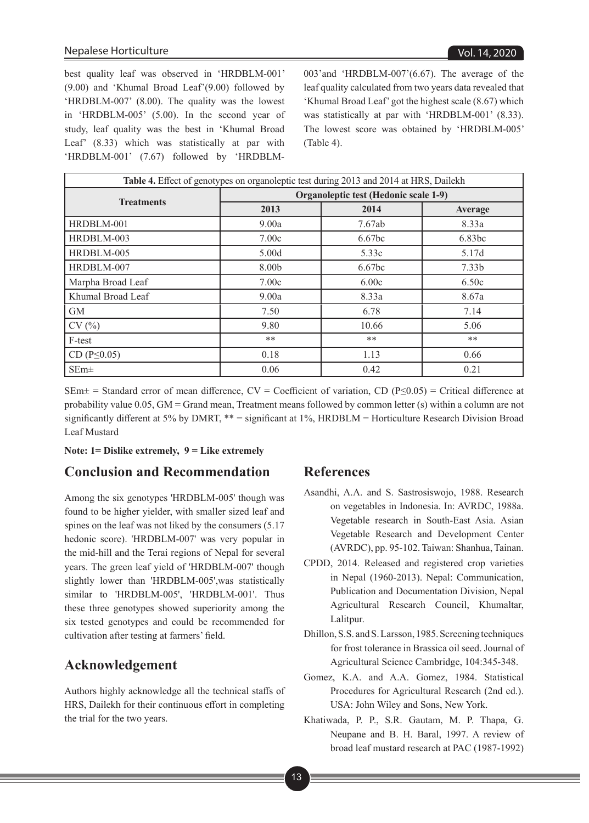best quality leaf was observed in 'HRDBLM-001' (9.00) and 'Khumal Broad Leaf'(9.00) followed by 'HRDBLM-007' (8.00). The quality was the lowest in 'HRDBLM-005' (5.00). In the second year of study, leaf quality was the best in 'Khumal Broad Leaf' (8.33) which was statistically at par with 'HRDBLM-001' (7.67) followed by 'HRDBLM-

003'and 'HRDBLM-007'(6.67). The average of the leaf quality calculated from two years data revealed that 'Khumal Broad Leaf' got the highest scale (8.67) which was statistically at par with 'HRDBLM-001' (8.33). The lowest score was obtained by 'HRDBLM-005' (Table 4).

| Table 4. Effect of genotypes on organoleptic test during 2013 and 2014 at HRS, Dailekh |                                       |                    |                   |  |  |  |
|----------------------------------------------------------------------------------------|---------------------------------------|--------------------|-------------------|--|--|--|
| <b>Treatments</b>                                                                      | Organoleptic test (Hedonic scale 1-9) |                    |                   |  |  |  |
|                                                                                        | 2013                                  | 2014               | Average           |  |  |  |
| HRDBLM-001                                                                             | 9.00a                                 | 7.67ab             | 8.33a             |  |  |  |
| HRDBLM-003                                                                             | 7.00c                                 | 6.67 <sub>bc</sub> | 6.83bc            |  |  |  |
| HRDBLM-005                                                                             | 5.00d                                 | 5.33c              | 5.17d             |  |  |  |
| HRDBLM-007                                                                             | 8.00b                                 | 6.67 <sub>bc</sub> | 7.33 <sub>b</sub> |  |  |  |
| Marpha Broad Leaf                                                                      | 7.00c                                 | 6.00c              | 6.50c             |  |  |  |
| Khumal Broad Leaf                                                                      | 9.00a                                 | 8.33a              | 8.67a             |  |  |  |
| <b>GM</b>                                                                              | 7.50                                  | 6.78               | 7.14              |  |  |  |
| CV(%)                                                                                  | 9.80                                  | 10.66              | 5.06              |  |  |  |
| F-test                                                                                 | **                                    | **                 | **                |  |  |  |
| $CD (P \le 0.05)$                                                                      | 0.18                                  | 1.13               | 0.66              |  |  |  |
| $SEm\pm$                                                                               | 0.06                                  | 0.42               | 0.21              |  |  |  |

SEm $\pm$  = Standard error of mean difference, CV = Coefficient of variation, CD (P≤0.05) = Critical difference at probability value 0.05, GM = Grand mean, Treatment means followed by common letter (s) within a column are not significantly different at 5% by DMRT, \*\* = significant at 1%, HRDBLM = Horticulture Research Division Broad Leaf Mustard

#### **Note: 1= Dislike extremely, 9 = Like extremely**

# **Conclusion and Recommendation**

Among the six genotypes 'HRDBLM-005' though was found to be higher yielder, with smaller sized leaf and spines on the leaf was not liked by the consumers (5.17 hedonic score). 'HRDBLM-007' was very popular in the mid-hill and the Terai regions of Nepal for several years. The green leaf yield of 'HRDBLM-007' though slightly lower than 'HRDBLM-005',was statistically similar to 'HRDBLM-005', 'HRDBLM-001'. Thus these three genotypes showed superiority among the six tested genotypes and could be recommended for cultivation after testing at farmers' field.

### **Acknowledgement**

Authors highly acknowledge all the technical staffs of HRS, Dailekh for their continuous effort in completing the trial for the two years.

#### **References**

- Asandhi, A.A. and S. Sastrosiswojo, 1988. Research on vegetables in Indonesia. In: AVRDC, 1988a. Vegetable research in South-East Asia. Asian Vegetable Research and Development Center (AVRDC), pp. 95-102. Taiwan: Shanhua, Tainan.
- CPDD, 2014. Released and registered crop varieties in Nepal (1960-2013). Nepal: Communication, Publication and Documentation Division, Nepal Agricultural Research Council, Khumaltar, Lalitpur.
- Dhillon, S.S. and S. Larsson, 1985. Screening techniques for frost tolerance in Brassica oil seed. Journal of Agricultural Science Cambridge, 104:345-348.
- Gomez, K.A. and A.A. Gomez, 1984. Statistical Procedures for Agricultural Research (2nd ed.). USA: John Wiley and Sons, New York.
- Khatiwada, P. P., S.R. Gautam, M. P. Thapa, G. Neupane and B. H. Baral, 1997. A review of broad leaf mustard research at PAC (1987-1992)